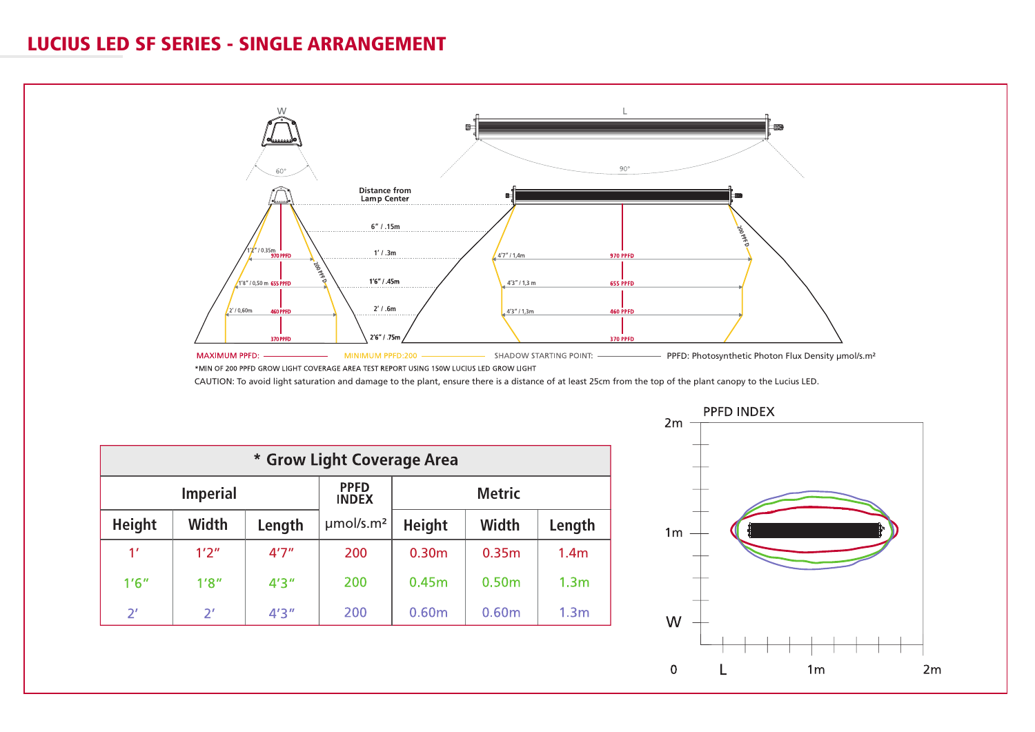## LUCIUS LED SF SERIES - SINGLE ARRANGEMENT



CAUTION: To avoid light saturation and damage to the plant, ensure there is a distance of at least 25cm from the top of the plant canopy to the Lucius LED.

| * Grow Light Coverage Area |       |        |                             |                   |                   |                  |  |  |  |
|----------------------------|-------|--------|-----------------------------|-------------------|-------------------|------------------|--|--|--|
| <b>Imperial</b>            |       |        | <b>PPFD</b><br><b>INDEX</b> | <b>Metric</b>     |                   |                  |  |  |  |
| <b>Height</b>              | Width | Length | µmol/s.m <sup>2</sup>       | <b>Height</b>     | Width             | Length           |  |  |  |
| 1'                         | 1'2'' | 4'7''  | 200                         | 0.30 <sub>m</sub> | 0.35 <sub>m</sub> | 1.4 <sub>m</sub> |  |  |  |
| 1'6''                      | 1'8'' | 4'3''  | 200                         | 0.45m             | 0.50 <sub>m</sub> | 1.3 <sub>m</sub> |  |  |  |
| $2^r$                      | $2^r$ | 4'3''  | 200                         | 0.60m             | 0.60m             | 1.3 <sub>m</sub> |  |  |  |